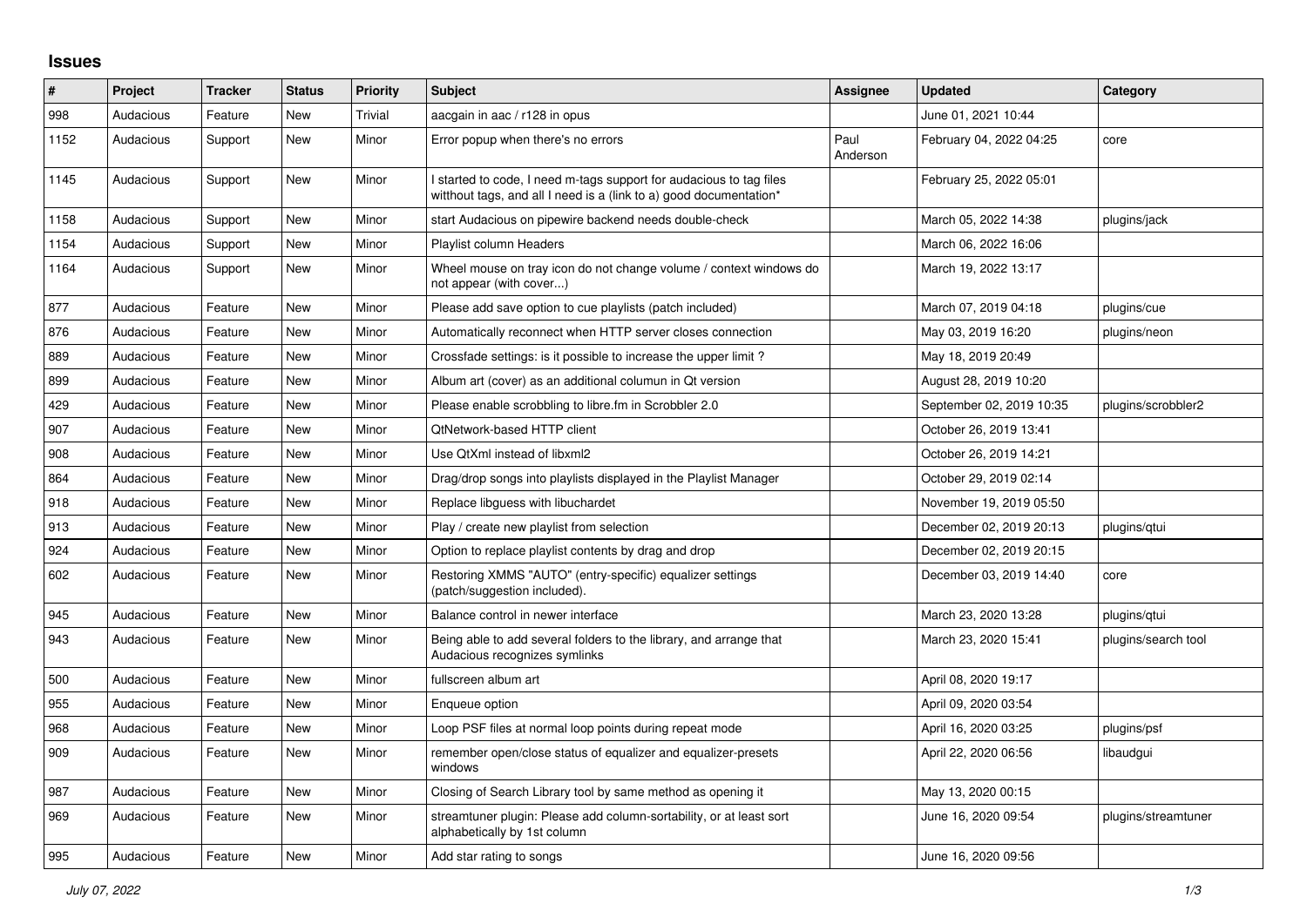## **Issues**

| $\#$ | Project   | <b>Tracker</b> | <b>Status</b> | <b>Priority</b> | <b>Subject</b>                                                                                                                            | Assignee         | <b>Updated</b>           | Category            |
|------|-----------|----------------|---------------|-----------------|-------------------------------------------------------------------------------------------------------------------------------------------|------------------|--------------------------|---------------------|
| 998  | Audacious | Feature        | New           | Trivial         | aacgain in aac / r128 in opus                                                                                                             |                  | June 01, 2021 10:44      |                     |
| 1152 | Audacious | Support        | New           | Minor           | Error popup when there's no errors                                                                                                        | Paul<br>Anderson | February 04, 2022 04:25  | core                |
| 1145 | Audacious | Support        | New           | Minor           | I started to code, I need m-tags support for audacious to tag files<br>witthout tags, and all I need is a (link to a) good documentation* |                  | February 25, 2022 05:01  |                     |
| 1158 | Audacious | Support        | <b>New</b>    | Minor           | start Audacious on pipewire backend needs double-check                                                                                    |                  | March 05, 2022 14:38     | plugins/jack        |
| 1154 | Audacious | Support        | New           | Minor           | Playlist column Headers                                                                                                                   |                  | March 06, 2022 16:06     |                     |
| 1164 | Audacious | Support        | New           | Minor           | Wheel mouse on tray icon do not change volume / context windows do<br>not appear (with cover)                                             |                  | March 19, 2022 13:17     |                     |
| 877  | Audacious | Feature        | New           | Minor           | Please add save option to cue playlists (patch included)                                                                                  |                  | March 07, 2019 04:18     | plugins/cue         |
| 876  | Audacious | Feature        | New           | Minor           | Automatically reconnect when HTTP server closes connection                                                                                |                  | May 03, 2019 16:20       | plugins/neon        |
| 889  | Audacious | Feature        | New           | Minor           | Crossfade settings: is it possible to increase the upper limit?                                                                           |                  | May 18, 2019 20:49       |                     |
| 899  | Audacious | Feature        | New           | Minor           | Album art (cover) as an additional columun in Qt version                                                                                  |                  | August 28, 2019 10:20    |                     |
| 429  | Audacious | Feature        | New           | Minor           | Please enable scrobbling to libre.fm in Scrobbler 2.0                                                                                     |                  | September 02, 2019 10:35 | plugins/scrobbler2  |
| 907  | Audacious | Feature        | <b>New</b>    | Minor           | <b>QtNetwork-based HTTP client</b>                                                                                                        |                  | October 26, 2019 13:41   |                     |
| 908  | Audacious | Feature        | New           | Minor           | Use QtXml instead of libxml2                                                                                                              |                  | October 26, 2019 14:21   |                     |
| 864  | Audacious | Feature        | New           | Minor           | Drag/drop songs into playlists displayed in the Playlist Manager                                                                          |                  | October 29, 2019 02:14   |                     |
| 918  | Audacious | Feature        | New           | Minor           | Replace libguess with libuchardet                                                                                                         |                  | November 19, 2019 05:50  |                     |
| 913  | Audacious | Feature        | New           | Minor           | Play / create new playlist from selection                                                                                                 |                  | December 02, 2019 20:13  | plugins/gtui        |
| 924  | Audacious | Feature        | New           | Minor           | Option to replace playlist contents by drag and drop                                                                                      |                  | December 02, 2019 20:15  |                     |
| 602  | Audacious | Feature        | New           | Minor           | Restoring XMMS "AUTO" (entry-specific) equalizer settings<br>(patch/suggestion included).                                                 |                  | December 03, 2019 14:40  | core                |
| 945  | Audacious | Feature        | New           | Minor           | Balance control in newer interface                                                                                                        |                  | March 23, 2020 13:28     | plugins/qtui        |
| 943  | Audacious | Feature        | <b>New</b>    | Minor           | Being able to add several folders to the library, and arrange that<br>Audacious recognizes symlinks                                       |                  | March 23, 2020 15:41     | plugins/search tool |
| 500  | Audacious | Feature        | New           | Minor           | fullscreen album art                                                                                                                      |                  | April 08, 2020 19:17     |                     |
| 955  | Audacious | Feature        | New           | Minor           | Enqueue option                                                                                                                            |                  | April 09, 2020 03:54     |                     |
| 968  | Audacious | Feature        | New           | Minor           | Loop PSF files at normal loop points during repeat mode                                                                                   |                  | April 16, 2020 03:25     | plugins/psf         |
| 909  | Audacious | Feature        | New           | Minor           | remember open/close status of equalizer and equalizer-presets<br>windows                                                                  |                  | April 22, 2020 06:56     | libaudgui           |
| 987  | Audacious | Feature        | New           | Minor           | Closing of Search Library tool by same method as opening it                                                                               |                  | May 13, 2020 00:15       |                     |
| 969  | Audacious | Feature        | New           | Minor           | streamtuner plugin: Please add column-sortability, or at least sort<br>alphabetically by 1st column                                       |                  | June 16, 2020 09:54      | plugins/streamtuner |
| 995  | Audacious | Feature        | New           | Minor           | Add star rating to songs                                                                                                                  |                  | June 16, 2020 09:56      |                     |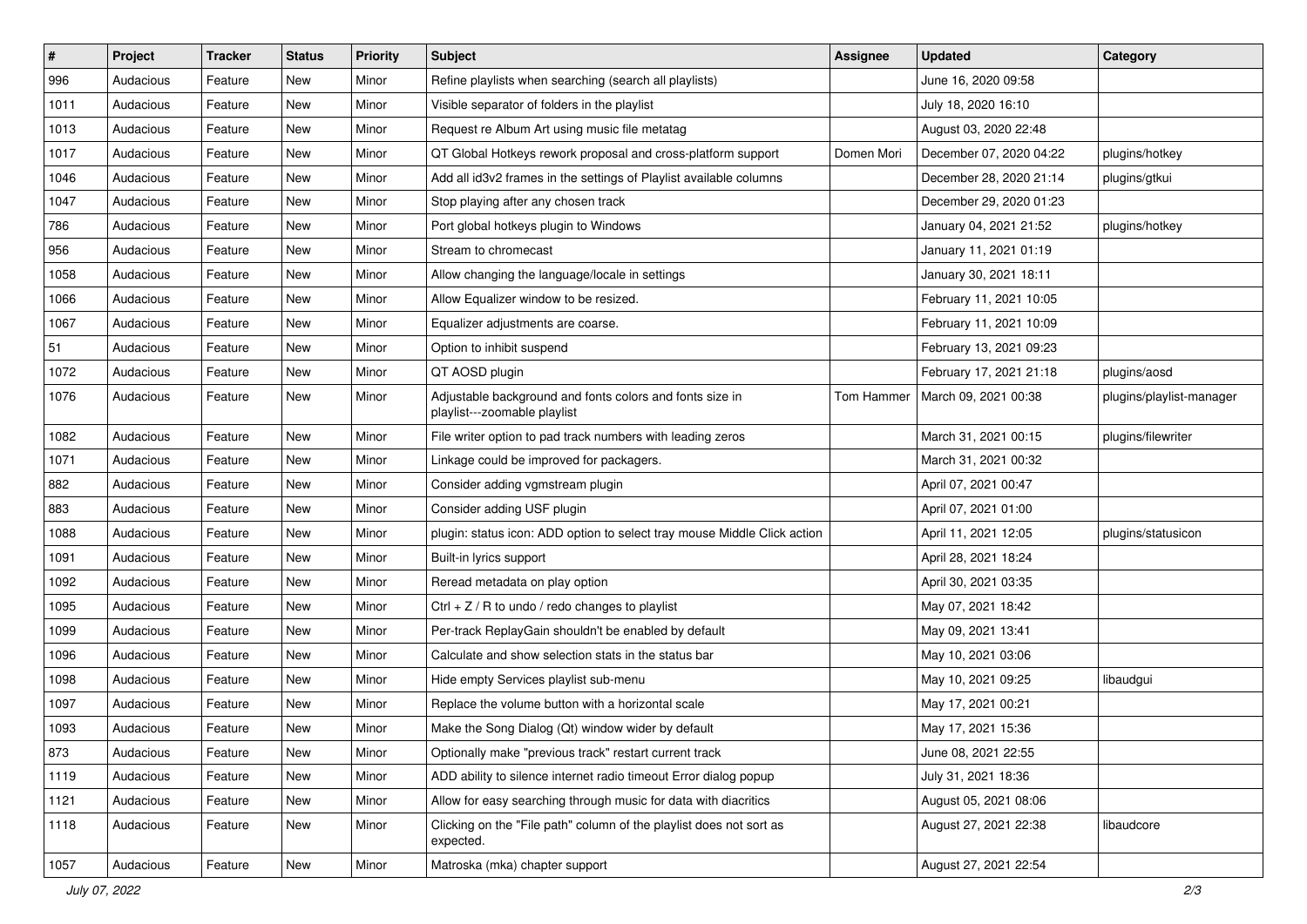| $\vert$ # | Project   | <b>Tracker</b> | <b>Status</b> | <b>Priority</b> | <b>Subject</b>                                                                           | <b>Assignee</b>   | <b>Updated</b>          | Category                 |
|-----------|-----------|----------------|---------------|-----------------|------------------------------------------------------------------------------------------|-------------------|-------------------------|--------------------------|
| 996       | Audacious | Feature        | New           | Minor           | Refine playlists when searching (search all playlists)                                   |                   | June 16, 2020 09:58     |                          |
| 1011      | Audacious | Feature        | <b>New</b>    | Minor           | Visible separator of folders in the playlist                                             |                   | July 18, 2020 16:10     |                          |
| 1013      | Audacious | Feature        | New           | Minor           | Request re Album Art using music file metatag                                            |                   | August 03, 2020 22:48   |                          |
| 1017      | Audacious | Feature        | New           | Minor           | QT Global Hotkeys rework proposal and cross-platform support                             | Domen Mori        | December 07, 2020 04:22 | plugins/hotkey           |
| 1046      | Audacious | Feature        | <b>New</b>    | Minor           | Add all id3v2 frames in the settings of Playlist available columns                       |                   | December 28, 2020 21:14 | plugins/gtkui            |
| 1047      | Audacious | Feature        | New           | Minor           | Stop playing after any chosen track                                                      |                   | December 29, 2020 01:23 |                          |
| 786       | Audacious | Feature        | New           | Minor           | Port global hotkeys plugin to Windows                                                    |                   | January 04, 2021 21:52  | plugins/hotkey           |
| 956       | Audacious | Feature        | New           | Minor           | Stream to chromecast                                                                     |                   | January 11, 2021 01:19  |                          |
| 1058      | Audacious | Feature        | New           | Minor           | Allow changing the language/locale in settings                                           |                   | January 30, 2021 18:11  |                          |
| 1066      | Audacious | Feature        | <b>New</b>    | Minor           | Allow Equalizer window to be resized.                                                    |                   | February 11, 2021 10:05 |                          |
| 1067      | Audacious | Feature        | New           | Minor           | Equalizer adjustments are coarse.                                                        |                   | February 11, 2021 10:09 |                          |
| 51        | Audacious | Feature        | New           | Minor           | Option to inhibit suspend                                                                |                   | February 13, 2021 09:23 |                          |
| 1072      | Audacious | Feature        | New           | Minor           | QT AOSD plugin                                                                           |                   | February 17, 2021 21:18 | plugins/aosd             |
| 1076      | Audacious | Feature        | New           | Minor           | Adjustable background and fonts colors and fonts size in<br>playlist---zoomable playlist | <b>Tom Hammer</b> | March 09, 2021 00:38    | plugins/playlist-manager |
| 1082      | Audacious | Feature        | New           | Minor           | File writer option to pad track numbers with leading zeros                               |                   | March 31, 2021 00:15    | plugins/filewriter       |
| 1071      | Audacious | Feature        | New           | Minor           | Linkage could be improved for packagers.                                                 |                   | March 31, 2021 00:32    |                          |
| 882       | Audacious | Feature        | New           | Minor           | Consider adding vgmstream plugin                                                         |                   | April 07, 2021 00:47    |                          |
| 883       | Audacious | Feature        | New           | Minor           | Consider adding USF plugin                                                               |                   | April 07, 2021 01:00    |                          |
| 1088      | Audacious | Feature        | New           | Minor           | plugin: status icon: ADD option to select tray mouse Middle Click action                 |                   | April 11, 2021 12:05    | plugins/statusicon       |
| 1091      | Audacious | Feature        | New           | Minor           | Built-in lyrics support                                                                  |                   | April 28, 2021 18:24    |                          |
| 1092      | Audacious | Feature        | New           | Minor           | Reread metadata on play option                                                           |                   | April 30, 2021 03:35    |                          |
| 1095      | Audacious | Feature        | <b>New</b>    | Minor           | Ctrl + $Z$ / R to undo / redo changes to playlist                                        |                   | May 07, 2021 18:42      |                          |
| 1099      | Audacious | Feature        | New           | Minor           | Per-track ReplayGain shouldn't be enabled by default                                     |                   | May 09, 2021 13:41      |                          |
| 1096      | Audacious | Feature        | New           | Minor           | Calculate and show selection stats in the status bar                                     |                   | May 10, 2021 03:06      |                          |
| 1098      | Audacious | Feature        | New           | Minor           | Hide empty Services playlist sub-menu                                                    |                   | May 10, 2021 09:25      | libaudgui                |
| 1097      | Audacious | Feature        | New           | Minor           | Replace the volume button with a horizontal scale                                        |                   | May 17, 2021 00:21      |                          |
| 1093      | Audacious | Feature        | New           | Minor           | Make the Song Dialog (Qt) window wider by default                                        |                   | May 17, 2021 15:36      |                          |
| 873       | Audacious | Feature        | New           | Minor           | Optionally make "previous track" restart current track                                   |                   | June 08, 2021 22:55     |                          |
| 1119      | Audacious | Feature        | New           | Minor           | ADD ability to silence internet radio timeout Error dialog popup                         |                   | July 31, 2021 18:36     |                          |
| 1121      | Audacious | Feature        | New           | Minor           | Allow for easy searching through music for data with diacritics                          |                   | August 05, 2021 08:06   |                          |
| 1118      | Audacious | Feature        | New           | Minor           | Clicking on the "File path" column of the playlist does not sort as<br>expected.         |                   | August 27, 2021 22:38   | libaudcore               |
| 1057      | Audacious | Feature        | New           | Minor           | Matroska (mka) chapter support                                                           |                   | August 27, 2021 22:54   |                          |